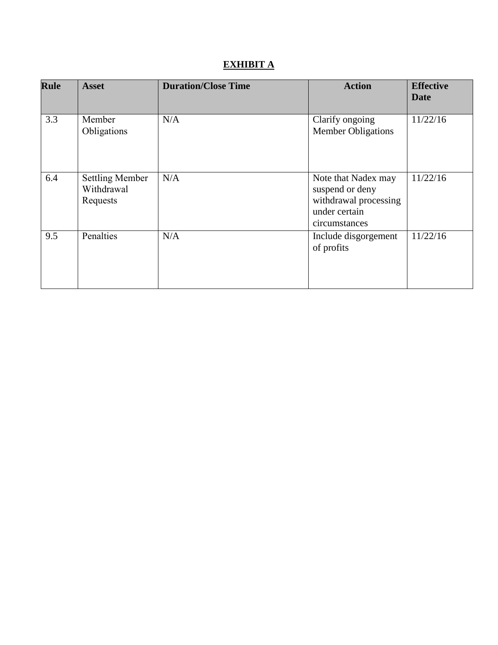# **EXHIBIT A**

| <b>Rule</b> | <b>Asset</b>                                     | <b>Duration/Close Time</b> | <b>Action</b>                                                                                     | <b>Effective</b><br>Date |
|-------------|--------------------------------------------------|----------------------------|---------------------------------------------------------------------------------------------------|--------------------------|
| 3.3         | Member<br>Obligations                            | N/A                        | Clarify ongoing<br><b>Member Obligations</b>                                                      | 11/22/16                 |
| 6.4         | <b>Settling Member</b><br>Withdrawal<br>Requests | N/A                        | Note that Nadex may<br>suspend or deny<br>withdrawal processing<br>under certain<br>circumstances | 11/22/16                 |
| 9.5         | Penalties                                        | N/A                        | Include disgorgement<br>of profits                                                                | 11/22/16                 |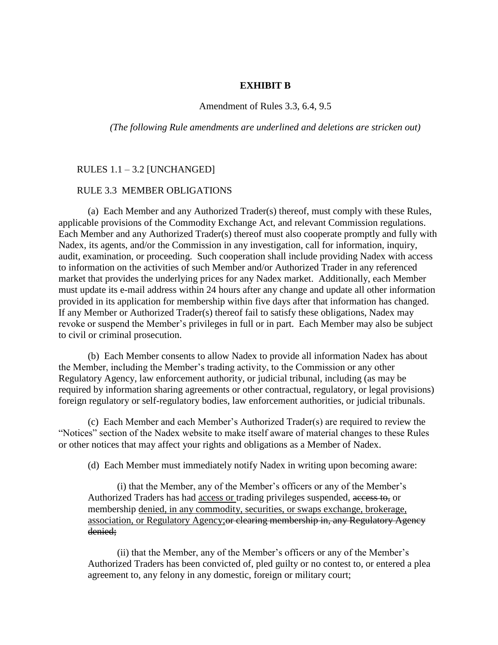#### **EXHIBIT B**

#### Amendment of Rules 3.3, 6.4, 9.5

*(The following Rule amendments are underlined and deletions are stricken out)*

#### RULES  $1.1 - 3.2$  [UNCHANGED]

## RULE 3.3 MEMBER OBLIGATIONS

(a) Each Member and any Authorized Trader(s) thereof, must comply with these Rules, applicable provisions of the Commodity Exchange Act, and relevant Commission regulations. Each Member and any Authorized Trader(s) thereof must also cooperate promptly and fully with Nadex, its agents, and/or the Commission in any investigation, call for information, inquiry, audit, examination, or proceeding. Such cooperation shall include providing Nadex with access to information on the activities of such Member and/or Authorized Trader in any referenced market that provides the underlying prices for any Nadex market. Additionally, each Member must update its e-mail address within 24 hours after any change and update all other information provided in its application for membership within five days after that information has changed. If any Member or Authorized Trader(s) thereof fail to satisfy these obligations, Nadex may revoke or suspend the Member's privileges in full or in part. Each Member may also be subject to civil or criminal prosecution.

(b) Each Member consents to allow Nadex to provide all information Nadex has about the Member, including the Member's trading activity, to the Commission or any other Regulatory Agency, law enforcement authority, or judicial tribunal, including (as may be required by information sharing agreements or other contractual, regulatory, or legal provisions) foreign regulatory or self-regulatory bodies, law enforcement authorities, or judicial tribunals.

(c) Each Member and each Member's Authorized Trader(s) are required to review the "Notices" section of the Nadex website to make itself aware of material changes to these Rules or other notices that may affect your rights and obligations as a Member of Nadex.

(d) Each Member must immediately notify Nadex in writing upon becoming aware:

(i) that the Member, any of the Member's officers or any of the Member's Authorized Traders has had access or trading privileges suspended, access to, or membership denied, in any commodity, securities, or swaps exchange, brokerage, association, or Regulatory Agency; or clearing membership in, any Regulatory Agency denied;

(ii) that the Member, any of the Member's officers or any of the Member's Authorized Traders has been convicted of, pled guilty or no contest to, or entered a plea agreement to, any felony in any domestic, foreign or military court;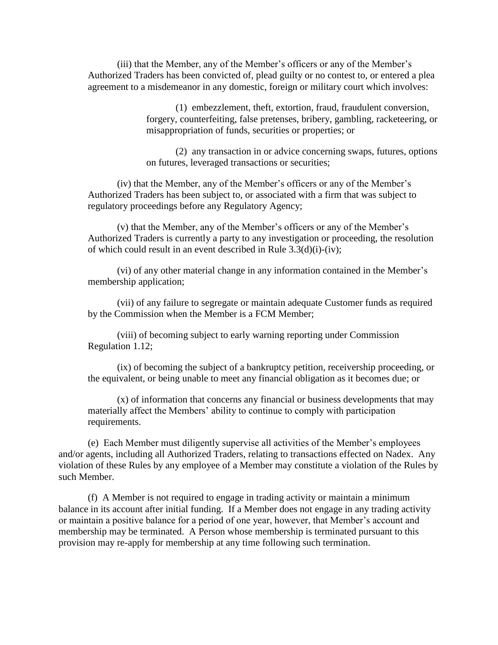(iii) that the Member, any of the Member's officers or any of the Member's Authorized Traders has been convicted of, plead guilty or no contest to, or entered a plea agreement to a misdemeanor in any domestic, foreign or military court which involves:

> (1) embezzlement, theft, extortion, fraud, fraudulent conversion, forgery, counterfeiting, false pretenses, bribery, gambling, racketeering, or misappropriation of funds, securities or properties; or

> (2) any transaction in or advice concerning swaps, futures, options on futures, leveraged transactions or securities;

(iv) that the Member, any of the Member's officers or any of the Member's Authorized Traders has been subject to, or associated with a firm that was subject to regulatory proceedings before any Regulatory Agency;

(v) that the Member, any of the Member's officers or any of the Member's Authorized Traders is currently a party to any investigation or proceeding, the resolution of which could result in an event described in Rule 3.3(d)(i)-(iv);

(vi) of any other material change in any information contained in the Member's membership application;

(vii) of any failure to segregate or maintain adequate Customer funds as required by the Commission when the Member is a FCM Member;

(viii) of becoming subject to early warning reporting under Commission Regulation 1.12;

(ix) of becoming the subject of a bankruptcy petition, receivership proceeding, or the equivalent, or being unable to meet any financial obligation as it becomes due; or

(x) of information that concerns any financial or business developments that may materially affect the Members' ability to continue to comply with participation requirements.

(e) Each Member must diligently supervise all activities of the Member's employees and/or agents, including all Authorized Traders, relating to transactions effected on Nadex. Any violation of these Rules by any employee of a Member may constitute a violation of the Rules by such Member.

(f) A Member is not required to engage in trading activity or maintain a minimum balance in its account after initial funding. If a Member does not engage in any trading activity or maintain a positive balance for a period of one year, however, that Member's account and membership may be terminated. A Person whose membership is terminated pursuant to this provision may re-apply for membership at any time following such termination.